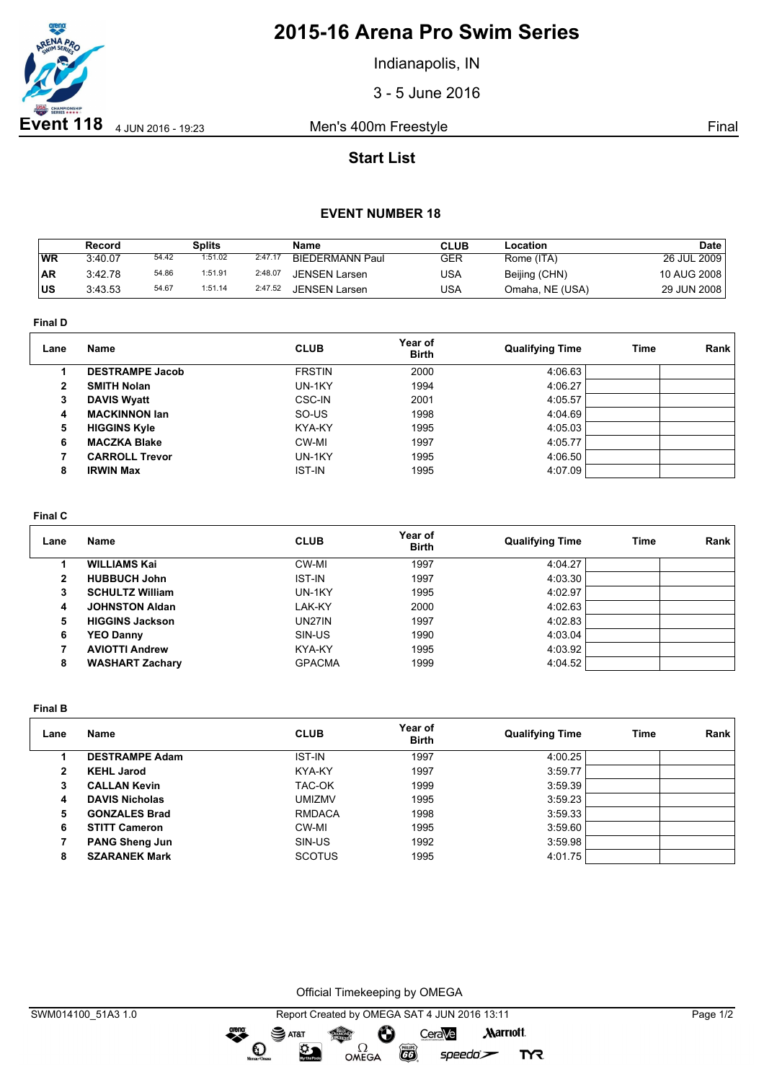

# **2015-16 Arena Pro Swim Series**

Indianapolis, IN

3 - 5 June 2016

## **Start List**

### **EVENT NUMBER 18**

|           | Record  |       | Splits  |         | Name                   | <b>CLUB</b> | Location        | Date        |
|-----------|---------|-------|---------|---------|------------------------|-------------|-----------------|-------------|
| 'WR       | 3:40.07 | 54.42 | 1:51.02 | 2:47.17 | <b>BIEDERMANN Paul</b> | GER         | Rome (ITA)      | 26 JUL 2009 |
| <b>AR</b> | 3:42.78 | 54.86 | 1:51.91 | 2:48.07 | <b>JENSEN Larsen</b>   | USA         | Beijing (CHN)   | 10 AUG 2008 |
| IUS       | 3:43.53 | 54.67 | 1:51.14 | 2:47.52 | <b>JENSEN Larsen</b>   | USA         | Omaha, NE (USA) | 29 JUN 2008 |

**Final D**

| Lane | Name                   | <b>CLUB</b>   | Year of<br><b>Birth</b> | <b>Qualifying Time</b> | Time | Rank |
|------|------------------------|---------------|-------------------------|------------------------|------|------|
|      | <b>DESTRAMPE Jacob</b> | <b>FRSTIN</b> | 2000                    | 4:06.63                |      |      |
| 2    | <b>SMITH Nolan</b>     | UN-1KY        | 1994                    | 4:06.27                |      |      |
| 3    | <b>DAVIS Wyatt</b>     | CSC-IN        | 2001                    | 4:05.57                |      |      |
| 4    | <b>MACKINNON lan</b>   | SO-US         | 1998                    | 4:04.69                |      |      |
| 5    | <b>HIGGINS Kyle</b>    | KYA-KY        | 1995                    | 4:05.03                |      |      |
| 6    | <b>MACZKA Blake</b>    | CW-MI         | 1997                    | 4:05.77                |      |      |
|      | <b>CARROLL Trevor</b>  | UN-1KY        | 1995                    | 4:06.50                |      |      |
| 8    | <b>IRWIN Max</b>       | <b>IST-IN</b> | 1995                    | 4:07.09                |      |      |
|      |                        |               |                         |                        |      |      |

#### **Final C**

| Lane | Name                   | <b>CLUB</b>   | Year of<br><b>Birth</b> | <b>Qualifying Time</b> | Time | Rank |
|------|------------------------|---------------|-------------------------|------------------------|------|------|
|      | <b>WILLIAMS Kai</b>    | CW-MI         | 1997                    | 4:04.27                |      |      |
| 2    | <b>HUBBUCH John</b>    | <b>IST-IN</b> | 1997                    | 4:03.30                |      |      |
| 3    | <b>SCHULTZ William</b> | UN-1KY        | 1995                    | 4:02.97                |      |      |
| 4    | <b>JOHNSTON Aldan</b>  | LAK-KY        | 2000                    | 4:02.63                |      |      |
| 5    | <b>HIGGINS Jackson</b> | UN27IN        | 1997                    | 4:02.83                |      |      |
| 6    | <b>YEO Danny</b>       | SIN-US        | 1990                    | 4:03.04                |      |      |
|      | <b>AVIOTTI Andrew</b>  | KYA-KY        | 1995                    | 4:03.92                |      |      |
| 8    | <b>WASHART Zachary</b> | <b>GPACMA</b> | 1999                    | 4:04.52                |      |      |

**Final B**

| Lane | <b>Name</b>           | <b>CLUB</b>   | Year of<br><b>Birth</b> | <b>Qualifying Time</b> | <b>Time</b> | Rank |
|------|-----------------------|---------------|-------------------------|------------------------|-------------|------|
|      | <b>DESTRAMPE Adam</b> | <b>IST-IN</b> | 1997                    | 4:00.25                |             |      |
| 2    | <b>KEHL Jarod</b>     | KYA-KY        | 1997                    | 3:59.77                |             |      |
| 3    | <b>CALLAN Kevin</b>   | TAC-OK        | 1999                    | 3:59.39                |             |      |
| 4    | <b>DAVIS Nicholas</b> | <b>UMIZMV</b> | 1995                    | 3:59.23                |             |      |
| 5    | <b>GONZALES Brad</b>  | <b>RMDACA</b> | 1998                    | 3:59.33                |             |      |
| 6    | <b>STITT Cameron</b>  | CW-MI         | 1995                    | 3:59.60                |             |      |
|      | <b>PANG Sheng Jun</b> | SIN-US        | 1992                    | 3:59.98                |             |      |
| 8    | <b>SZARANEK Mark</b>  | <b>SCOTUS</b> | 1995                    | 4:01.75                |             |      |

Official Timekeeping by OMEGA

dreng: